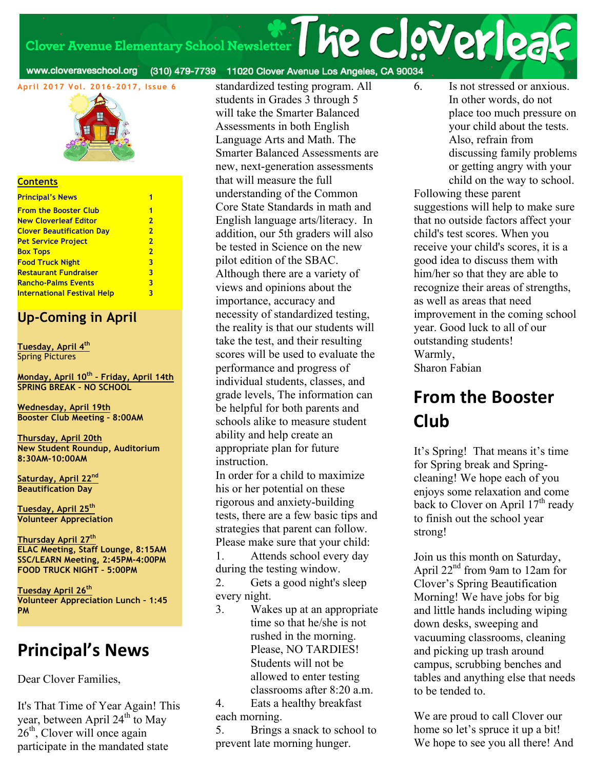# Clover Avenue Elementary School Newsletter | he clover | 23

www.cloveraveschool.org

(310) 479-7739 11020 Clover Avenue Los Angeles, CA 90034



#### **Contents**

| <b>Principal's News</b>            |                         |
|------------------------------------|-------------------------|
| <b>From the Booster Club</b>       | 1                       |
| <b>New Cloverleaf Editor</b>       | $\overline{2}$          |
| <b>Clover Beautification Day</b>   | $\overline{2}$          |
| <b>Pet Service Project</b>         | $\overline{2}$          |
| <b>Box Tops</b>                    | $\overline{2}$          |
| <b>Food Truck Night</b>            | $\overline{\mathbf{3}}$ |
| <b>Restaurant Fundraiser</b>       | $\overline{\mathbf{3}}$ |
| <b>Rancho-Palms Events</b>         | 3                       |
| <b>International Festival Help</b> | 3                       |

#### **Up-Coming in April**

**Tuesday, April 4th** Spring Pictures

**Monday, April 10th – Friday, April 14th SPRING BREAK – NO SCHOOL**

**Wednesday, April 19th Booster Club Meeting – 8:00AM**

**Thursday, April 20th New Student Roundup, Auditorium 8:30AM-10:00AM**

**Saturday, April 22nd Beautification Day**

**Tuesday, April 25th Volunteer Appreciation**

**Thursday April 27th ELAC Meeting, Staff Lounge, 8:15AM SSC/LEARN Meeting, 2:45PM-4:00PM FOOD TRUCK NIGHT – 5:00PM**

**Tuesday April 26th Volunteer Appreciation Lunch – 1:45 PM**

### **Principal's News**

Dear Clover Families,

It's That Time of Year Again! This year, between April 24<sup>th</sup> to May  $26<sup>th</sup>$ , Clover will once again participate in the mandated state

standardized testing program. All students in Grades 3 through 5 will take the Smarter Balanced Assessments in both English Language Arts and Math. The Smarter Balanced Assessments are new, next-generation assessments that will measure the full understanding of the Common Core State Standards in math and English language arts/literacy. In addition, our 5th graders will also be tested in Science on the new pilot edition of the SBAC. Although there are a variety of views and opinions about the importance, accuracy and necessity of standardized testing, the reality is that our students will take the test, and their resulting scores will be used to evaluate the performance and progress of individual students, classes, and grade levels, The information can be helpful for both parents and schools alike to measure student ability and help create an appropriate plan for future instruction.

In order for a child to maximize his or her potential on these rigorous and anxiety-building tests, there are a few basic tips and strategies that parent can follow. Please make sure that your child:

1. Attends school every day during the testing window.

2. Gets a good night's sleep every night.

3. Wakes up at an appropriate time so that he/she is not rushed in the morning. Please, NO TARDIES! Students will not be allowed to enter testing classrooms after 8:20 a.m.

4. Eats a healthy breakfast each morning.

5. Brings a snack to school to prevent late morning hunger.

6. Is not stressed or anxious. In other words, do not place too much pressure on your child about the tests. Also, refrain from discussing family problems or getting angry with your child on the way to school.

Following these parent suggestions will help to make sure that no outside factors affect your child's test scores. When you receive your child's scores, it is a good idea to discuss them with him/her so that they are able to recognize their areas of strengths, as well as areas that need improvement in the coming school year. Good luck to all of our outstanding students! Warmly, Sharon Fabian

### **From the Booster Club**

It's Spring! That means it's time for Spring break and Springcleaning! We hope each of you enjoys some relaxation and come back to Clover on April  $17<sup>th</sup>$  ready to finish out the school year strong!

Join us this month on Saturday, April 22nd from 9am to 12am for Clover's Spring Beautification Morning! We have jobs for big and little hands including wiping down desks, sweeping and vacuuming classrooms, cleaning and picking up trash around campus, scrubbing benches and tables and anything else that needs to be tended to.

We are proud to call Clover our home so let's spruce it up a bit! We hope to see you all there! And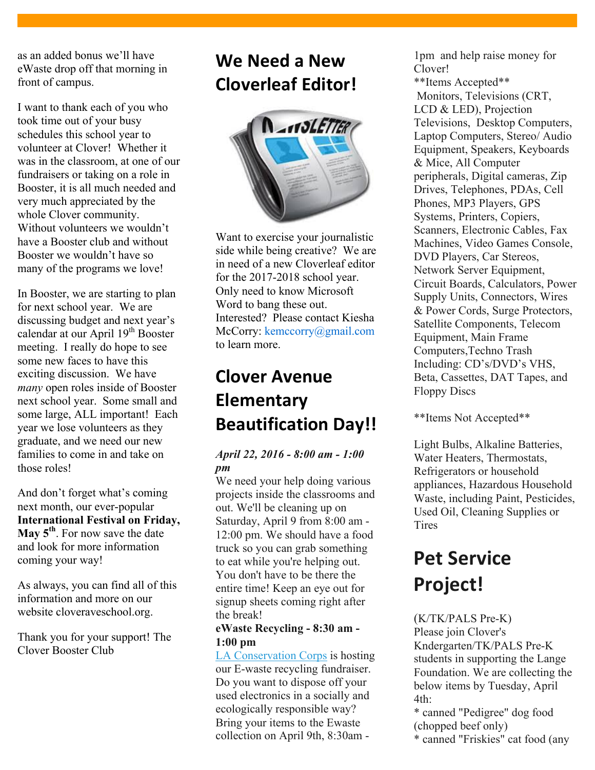as an added bonus we'll have eWaste drop off that morning in front of campus.

I want to thank each of you who took time out of your busy schedules this school year to volunteer at Clover! Whether it was in the classroom, at one of our fundraisers or taking on a role in Booster, it is all much needed and very much appreciated by the whole Clover community. Without volunteers we wouldn't have a Booster club and without Booster we wouldn't have so many of the programs we love!

In Booster, we are starting to plan for next school year. We are discussing budget and next year's calendar at our April 19<sup>th</sup> Booster meeting. I really do hope to see some new faces to have this exciting discussion. We have *many* open roles inside of Booster next school year. Some small and some large, ALL important! Each year we lose volunteers as they graduate, and we need our new families to come in and take on those roles!

And don't forget what's coming next month, our ever-popular **International Festival on Friday, May 5th**. For now save the date and look for more information coming your way!

As always, you can find all of this information and more on our website cloveraveschool.org.

Thank you for your support! The Clover Booster Club

### **We Need a New Cloverleaf Editor!**



Want to exercise your journalistic side while being creative? We are in need of a new Cloverleaf editor for the 2017-2018 school year. Only need to know Microsoft Word to bang these out. Interested? Please contact Kiesha McCorry: kemccorry@gmail.com to learn more.

### **Clover Avenue Elementary Beautification Day!!**

#### *April 22, 2016 - 8:00 am - 1:00 pm*

We need your help doing various projects inside the classrooms and out. We'll be cleaning up on Saturday, April 9 from 8:00 am - 12:00 pm. We should have a food truck so you can grab something to eat while you're helping out. You don't have to be there the entire time! Keep an eye out for signup sheets coming right after the break!

#### **eWaste Recycling - 8:30 am - 1:00 pm**

LA Conservation Corps is hosting our E-waste recycling fundraiser. Do you want to dispose off your used electronics in a socially and ecologically responsible way? Bring your items to the Ewaste collection on April 9th, 8:30am -

1pm and help raise money for Clover!

\*\*Items Accepted\*\* Monitors, Televisions (CRT, LCD & LED), Projection Televisions, Desktop Computers, Laptop Computers, Stereo/ Audio Equipment, Speakers, Keyboards & Mice, All Computer peripherals, Digital cameras, Zip Drives, Telephones, PDAs, Cell Phones, MP3 Players, GPS Systems, Printers, Copiers, Scanners, Electronic Cables, Fax Machines, Video Games Console, DVD Players, Car Stereos, Network Server Equipment, Circuit Boards, Calculators, Power Supply Units, Connectors, Wires & Power Cords, Surge Protectors, Satellite Components, Telecom Equipment, Main Frame Computers,Techno Trash Including: CD's/DVD's VHS, Beta, Cassettes, DAT Tapes, and Floppy Discs

\*\*Items Not Accepted\*\*

Light Bulbs, Alkaline Batteries, Water Heaters, Thermostats, Refrigerators or household appliances, Hazardous Household Waste, including Paint, Pesticides, Used Oil, Cleaning Supplies or **Tires** 

# **Pet Service Project!**

#### (K/TK/PALS Pre-K) Please join Clover's Kndergarten/TK/PALS Pre-K students in supporting the Lange Foundation. We are collecting the below items by Tuesday, April  $4th<sup>2</sup>$

\* canned "Pedigree" dog food (chopped beef only)

\* canned "Friskies" cat food (any